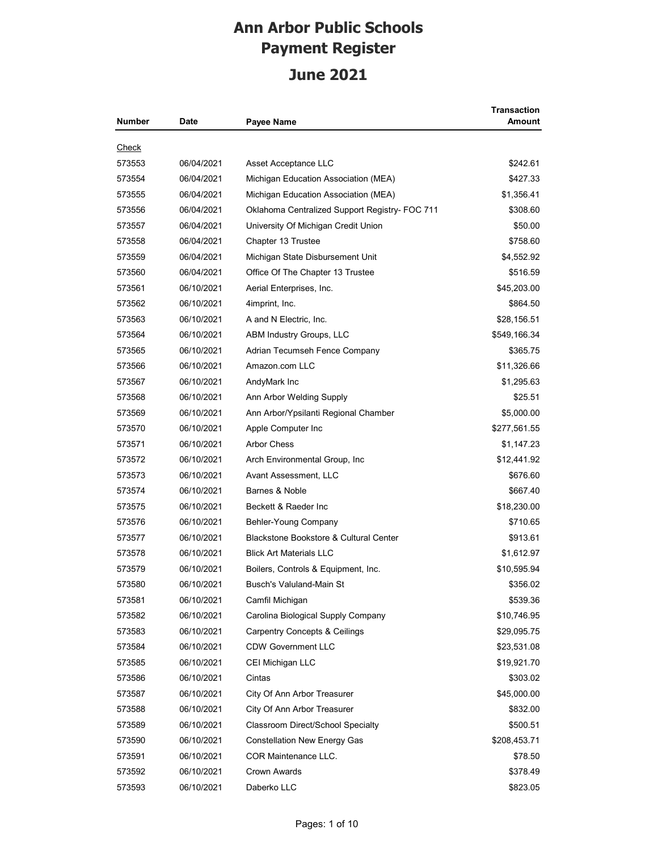| Number       | <b>Date</b> | <b>Payee Name</b>                              | Transaction<br><b>Amount</b> |
|--------------|-------------|------------------------------------------------|------------------------------|
| <u>Check</u> |             |                                                |                              |
| 573553       | 06/04/2021  | Asset Acceptance LLC                           | \$242.61                     |
| 573554       | 06/04/2021  | Michigan Education Association (MEA)           | \$427.33                     |
| 573555       | 06/04/2021  | Michigan Education Association (MEA)           | \$1,356.41                   |
| 573556       | 06/04/2021  | Oklahoma Centralized Support Registry- FOC 711 | \$308.60                     |
| 573557       | 06/04/2021  | University Of Michigan Credit Union            | \$50.00                      |
| 573558       | 06/04/2021  | Chapter 13 Trustee                             | \$758.60                     |
| 573559       | 06/04/2021  | Michigan State Disbursement Unit               | \$4,552.92                   |
| 573560       | 06/04/2021  | Office Of The Chapter 13 Trustee               | \$516.59                     |
| 573561       | 06/10/2021  | Aerial Enterprises, Inc.                       | \$45,203.00                  |
| 573562       | 06/10/2021  | 4imprint, Inc.                                 | \$864.50                     |
| 573563       | 06/10/2021  | A and N Electric, Inc.                         | \$28,156.51                  |
| 573564       | 06/10/2021  | ABM Industry Groups, LLC                       | \$549,166.34                 |
| 573565       | 06/10/2021  | Adrian Tecumseh Fence Company                  | \$365.75                     |
| 573566       | 06/10/2021  | Amazon.com LLC                                 | \$11,326.66                  |
| 573567       | 06/10/2021  | AndyMark Inc                                   | \$1,295.63                   |
| 573568       | 06/10/2021  | Ann Arbor Welding Supply                       | \$25.51                      |
| 573569       | 06/10/2021  | Ann Arbor/Ypsilanti Regional Chamber           | \$5,000.00                   |
| 573570       | 06/10/2021  | Apple Computer Inc                             | \$277,561.55                 |
| 573571       | 06/10/2021  | <b>Arbor Chess</b>                             | \$1,147.23                   |
| 573572       | 06/10/2021  | Arch Environmental Group, Inc.                 | \$12,441.92                  |
| 573573       | 06/10/2021  | Avant Assessment, LLC                          | \$676.60                     |
| 573574       | 06/10/2021  | Barnes & Noble                                 | \$667.40                     |
| 573575       | 06/10/2021  | Beckett & Raeder Inc                           | \$18,230.00                  |
| 573576       | 06/10/2021  | Behler-Young Company                           | \$710.65                     |
| 573577       | 06/10/2021  | Blackstone Bookstore & Cultural Center         | \$913.61                     |
| 573578       | 06/10/2021  | <b>Blick Art Materials LLC</b>                 | \$1,612.97                   |
| 573579       | 06/10/2021  | Boilers, Controls & Equipment, Inc.            | \$10,595.94                  |
| 573580       | 06/10/2021  | Busch's Valuland-Main St                       | \$356.02                     |
| 573581       | 06/10/2021  | Camfil Michigan                                | \$539.36                     |
| 573582       | 06/10/2021  | Carolina Biological Supply Company             | \$10,746.95                  |
| 573583       | 06/10/2021  | <b>Carpentry Concepts &amp; Ceilings</b>       | \$29,095.75                  |
| 573584       | 06/10/2021  | <b>CDW Government LLC</b>                      | \$23,531.08                  |
| 573585       | 06/10/2021  | CEI Michigan LLC                               | \$19,921.70                  |
| 573586       | 06/10/2021  | Cintas                                         | \$303.02                     |
| 573587       | 06/10/2021  | City Of Ann Arbor Treasurer                    | \$45,000.00                  |
| 573588       | 06/10/2021  | City Of Ann Arbor Treasurer                    | \$832.00                     |
| 573589       | 06/10/2021  | Classroom Direct/School Specialty              | \$500.51                     |
| 573590       | 06/10/2021  | <b>Constellation New Energy Gas</b>            | \$208,453.71                 |
| 573591       | 06/10/2021  | COR Maintenance LLC.                           | \$78.50                      |
| 573592       | 06/10/2021  | Crown Awards                                   | \$378.49                     |
| 573593       | 06/10/2021  | Daberko LLC                                    | \$823.05                     |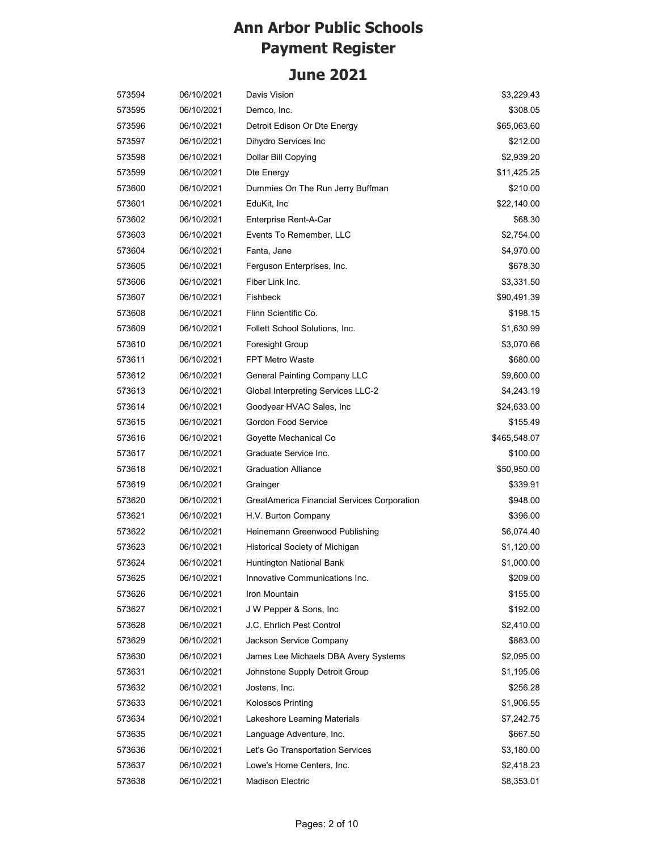| 573594 | 06/10/2021 | Davis Vision                                | \$3,229.43   |
|--------|------------|---------------------------------------------|--------------|
| 573595 | 06/10/2021 | Demco, Inc.                                 | \$308.05     |
| 573596 | 06/10/2021 | Detroit Edison Or Dte Energy                | \$65,063.60  |
| 573597 | 06/10/2021 | Dihydro Services Inc                        | \$212.00     |
| 573598 | 06/10/2021 | Dollar Bill Copying                         | \$2,939.20   |
| 573599 | 06/10/2021 | Dte Energy                                  | \$11,425.25  |
| 573600 | 06/10/2021 | Dummies On The Run Jerry Buffman            | \$210.00     |
| 573601 | 06/10/2021 | EduKit, Inc                                 | \$22,140.00  |
| 573602 | 06/10/2021 | Enterprise Rent-A-Car                       | \$68.30      |
| 573603 | 06/10/2021 | Events To Remember, LLC                     | \$2,754.00   |
| 573604 | 06/10/2021 | Fanta, Jane                                 | \$4,970.00   |
| 573605 | 06/10/2021 | Ferguson Enterprises, Inc.                  | \$678.30     |
| 573606 | 06/10/2021 | Fiber Link Inc.                             | \$3,331.50   |
| 573607 | 06/10/2021 | Fishbeck                                    | \$90,491.39  |
| 573608 | 06/10/2021 | Flinn Scientific Co.                        | \$198.15     |
| 573609 | 06/10/2021 | Follett School Solutions, Inc.              | \$1,630.99   |
| 573610 | 06/10/2021 | Foresight Group                             | \$3,070.66   |
| 573611 | 06/10/2021 | <b>FPT Metro Waste</b>                      | \$680.00     |
| 573612 | 06/10/2021 | <b>General Painting Company LLC</b>         | \$9,600.00   |
| 573613 | 06/10/2021 | Global Interpreting Services LLC-2          | \$4,243.19   |
| 573614 | 06/10/2021 | Goodyear HVAC Sales, Inc                    | \$24,633.00  |
| 573615 | 06/10/2021 | Gordon Food Service                         | \$155.49     |
| 573616 | 06/10/2021 | Goyette Mechanical Co                       | \$465,548.07 |
| 573617 | 06/10/2021 | Graduate Service Inc.                       | \$100.00     |
| 573618 | 06/10/2021 | <b>Graduation Alliance</b>                  | \$50,950.00  |
| 573619 | 06/10/2021 | Grainger                                    | \$339.91     |
| 573620 | 06/10/2021 | GreatAmerica Financial Services Corporation | \$948.00     |
| 573621 | 06/10/2021 | H.V. Burton Company                         | \$396.00     |
| 573622 | 06/10/2021 | Heinemann Greenwood Publishing              | \$6,074.40   |
| 573623 | 06/10/2021 | Historical Society of Michigan              | \$1,120.00   |
| 573624 | 06/10/2021 | Huntington National Bank                    | \$1,000.00   |
| 573625 | 06/10/2021 | Innovative Communications Inc.              | \$209.00     |
| 573626 | 06/10/2021 | Iron Mountain                               | \$155.00     |
| 573627 | 06/10/2021 | J W Pepper & Sons, Inc.                     | \$192.00     |
| 573628 | 06/10/2021 | J.C. Ehrlich Pest Control                   | \$2,410.00   |
| 573629 | 06/10/2021 | Jackson Service Company                     | \$883.00     |
| 573630 | 06/10/2021 | James Lee Michaels DBA Avery Systems        | \$2,095.00   |
| 573631 | 06/10/2021 | Johnstone Supply Detroit Group              | \$1,195.06   |
| 573632 | 06/10/2021 | Jostens, Inc.                               | \$256.28     |
| 573633 | 06/10/2021 | Kolossos Printing                           | \$1,906.55   |
| 573634 | 06/10/2021 | Lakeshore Learning Materials                | \$7,242.75   |
| 573635 | 06/10/2021 | Language Adventure, Inc.                    | \$667.50     |
| 573636 | 06/10/2021 | Let's Go Transportation Services            | \$3,180.00   |
| 573637 | 06/10/2021 | Lowe's Home Centers, Inc.                   | \$2,418.23   |
| 573638 | 06/10/2021 | <b>Madison Electric</b>                     | \$8,353.01   |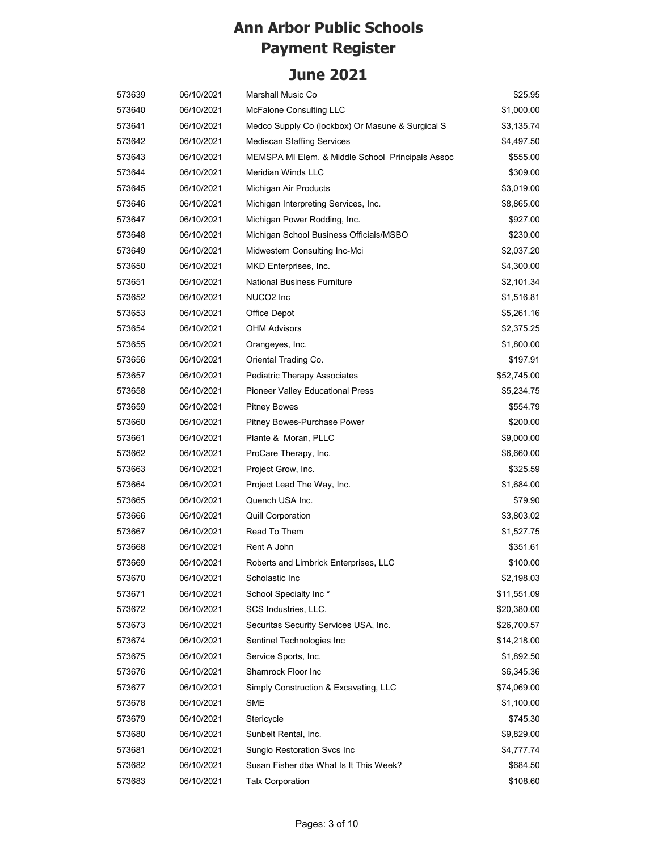| 573639 | 06/10/2021 | Marshall Music Co                                | \$25.95     |
|--------|------------|--------------------------------------------------|-------------|
| 573640 | 06/10/2021 | <b>McFalone Consulting LLC</b>                   | \$1,000.00  |
| 573641 | 06/10/2021 | Medco Supply Co (lockbox) Or Masune & Surgical S | \$3,135.74  |
| 573642 | 06/10/2021 | <b>Mediscan Staffing Services</b>                | \$4,497.50  |
| 573643 | 06/10/2021 | MEMSPA MI Elem. & Middle School Principals Assoc | \$555.00    |
| 573644 | 06/10/2021 | <b>Meridian Winds LLC</b>                        | \$309.00    |
| 573645 | 06/10/2021 | Michigan Air Products                            | \$3,019.00  |
| 573646 | 06/10/2021 | Michigan Interpreting Services, Inc.             | \$8,865.00  |
| 573647 | 06/10/2021 | Michigan Power Rodding, Inc.                     | \$927.00    |
| 573648 | 06/10/2021 | Michigan School Business Officials/MSBO          | \$230.00    |
| 573649 | 06/10/2021 | Midwestern Consulting Inc-Mci                    | \$2,037.20  |
| 573650 | 06/10/2021 | MKD Enterprises, Inc.                            | \$4,300.00  |
| 573651 | 06/10/2021 | <b>National Business Furniture</b>               | \$2,101.34  |
| 573652 | 06/10/2021 | NUCO2 Inc                                        | \$1,516.81  |
| 573653 | 06/10/2021 | Office Depot                                     | \$5,261.16  |
| 573654 | 06/10/2021 | <b>OHM Advisors</b>                              | \$2,375.25  |
| 573655 | 06/10/2021 | Orangeyes, Inc.                                  | \$1,800.00  |
| 573656 | 06/10/2021 | Oriental Trading Co.                             | \$197.91    |
| 573657 | 06/10/2021 | Pediatric Therapy Associates                     | \$52,745.00 |
| 573658 | 06/10/2021 | <b>Pioneer Valley Educational Press</b>          | \$5,234.75  |
| 573659 | 06/10/2021 | <b>Pitney Bowes</b>                              | \$554.79    |
| 573660 | 06/10/2021 | Pitney Bowes-Purchase Power                      | \$200.00    |
| 573661 | 06/10/2021 | Plante & Moran, PLLC                             | \$9,000.00  |
| 573662 | 06/10/2021 | ProCare Therapy, Inc.                            | \$6,660.00  |
| 573663 | 06/10/2021 | Project Grow, Inc.                               | \$325.59    |
| 573664 | 06/10/2021 | Project Lead The Way, Inc.                       | \$1,684.00  |
| 573665 | 06/10/2021 | Quench USA Inc.                                  | \$79.90     |
| 573666 | 06/10/2021 | <b>Quill Corporation</b>                         | \$3,803.02  |
| 573667 | 06/10/2021 | Read To Them                                     | \$1,527.75  |
| 573668 | 06/10/2021 | Rent A John                                      | \$351.61    |
| 573669 | 06/10/2021 | Roberts and Limbrick Enterprises, LLC            | \$100.00    |
| 573670 | 06/10/2021 | Scholastic Inc                                   | \$2,198.03  |
| 573671 | 06/10/2021 | School Specialty Inc*                            | \$11,551.09 |
| 573672 | 06/10/2021 | SCS Industries, LLC.                             | \$20,380.00 |
| 573673 | 06/10/2021 | Securitas Security Services USA, Inc.            | \$26,700.57 |
| 573674 | 06/10/2021 | Sentinel Technologies Inc                        | \$14,218.00 |
| 573675 | 06/10/2021 | Service Sports, Inc.                             | \$1,892.50  |
| 573676 | 06/10/2021 | Shamrock Floor Inc                               | \$6,345.36  |
| 573677 | 06/10/2021 | Simply Construction & Excavating, LLC            | \$74,069.00 |
| 573678 | 06/10/2021 | <b>SME</b>                                       | \$1,100.00  |
| 573679 | 06/10/2021 | Stericycle                                       | \$745.30    |
| 573680 | 06/10/2021 | Sunbelt Rental, Inc.                             | \$9,829.00  |
| 573681 | 06/10/2021 | Sunglo Restoration Svcs Inc                      | \$4,777.74  |
| 573682 | 06/10/2021 | Susan Fisher dba What Is It This Week?           | \$684.50    |
| 573683 | 06/10/2021 | <b>Talx Corporation</b>                          | \$108.60    |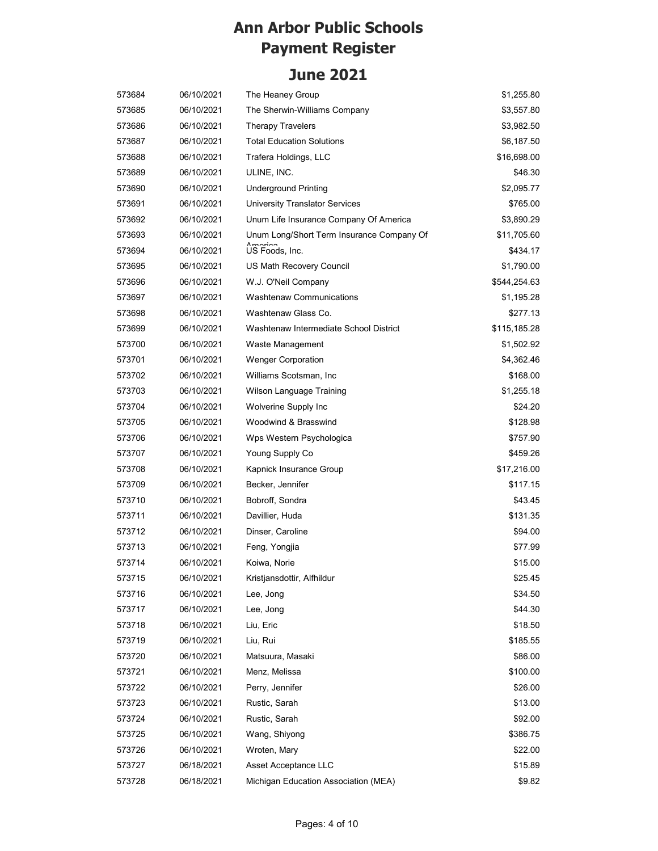| 573684 | 06/10/2021 | The Heaney Group                          | \$1,255.80   |
|--------|------------|-------------------------------------------|--------------|
| 573685 | 06/10/2021 | The Sherwin-Williams Company              | \$3,557.80   |
| 573686 | 06/10/2021 | <b>Therapy Travelers</b>                  | \$3,982.50   |
| 573687 | 06/10/2021 | <b>Total Education Solutions</b>          | \$6,187.50   |
| 573688 | 06/10/2021 | Trafera Holdings, LLC                     | \$16,698.00  |
| 573689 | 06/10/2021 | ULINE, INC.                               | \$46.30      |
| 573690 | 06/10/2021 | <b>Underground Printing</b>               | \$2,095.77   |
| 573691 | 06/10/2021 | <b>University Translator Services</b>     | \$765.00     |
| 573692 | 06/10/2021 | Unum Life Insurance Company Of America    | \$3,890.29   |
| 573693 | 06/10/2021 | Unum Long/Short Term Insurance Company Of | \$11,705.60  |
| 573694 | 06/10/2021 | US Foods, Inc.                            | \$434.17     |
| 573695 | 06/10/2021 | US Math Recovery Council                  | \$1,790.00   |
| 573696 | 06/10/2021 | W.J. O'Neil Company                       | \$544,254.63 |
| 573697 | 06/10/2021 | <b>Washtenaw Communications</b>           | \$1,195.28   |
| 573698 | 06/10/2021 | Washtenaw Glass Co.                       | \$277.13     |
| 573699 | 06/10/2021 | Washtenaw Intermediate School District    | \$115,185.28 |
| 573700 | 06/10/2021 | Waste Management                          | \$1,502.92   |
| 573701 | 06/10/2021 | <b>Wenger Corporation</b>                 | \$4,362.46   |
| 573702 | 06/10/2021 | Williams Scotsman, Inc.                   | \$168.00     |
| 573703 | 06/10/2021 | Wilson Language Training                  | \$1,255.18   |
| 573704 | 06/10/2021 | Wolverine Supply Inc                      | \$24.20      |
| 573705 | 06/10/2021 | Woodwind & Brasswind                      | \$128.98     |
| 573706 | 06/10/2021 | Wps Western Psychologica                  | \$757.90     |
| 573707 | 06/10/2021 | Young Supply Co                           | \$459.26     |
| 573708 | 06/10/2021 | Kapnick Insurance Group                   | \$17,216.00  |
| 573709 | 06/10/2021 | Becker, Jennifer                          | \$117.15     |
| 573710 | 06/10/2021 | Bobroff, Sondra                           | \$43.45      |
| 573711 | 06/10/2021 | Davillier, Huda                           | \$131.35     |
| 573712 | 06/10/2021 | Dinser, Caroline                          | \$94.00      |
| 573713 | 06/10/2021 | Feng, Yongjia                             | \$77.99      |
| 573714 | 06/10/2021 | Koiwa, Norie                              | \$15.00      |
| 573715 | 06/10/2021 | Kristjansdottir, Alfhildur                | \$25.45      |
| 573716 | 06/10/2021 | Lee, Jong                                 | \$34.50      |
| 573717 | 06/10/2021 | Lee, Jong                                 | \$44.30      |
| 573718 | 06/10/2021 | Liu, Eric                                 | \$18.50      |
| 573719 | 06/10/2021 | Liu, Rui                                  | \$185.55     |
| 573720 | 06/10/2021 | Matsuura, Masaki                          | \$86.00      |
| 573721 | 06/10/2021 | Menz, Melissa                             | \$100.00     |
| 573722 | 06/10/2021 | Perry, Jennifer                           | \$26.00      |
| 573723 | 06/10/2021 | Rustic, Sarah                             | \$13.00      |
| 573724 | 06/10/2021 | Rustic, Sarah                             | \$92.00      |
| 573725 | 06/10/2021 | Wang, Shiyong                             | \$386.75     |
| 573726 | 06/10/2021 | Wroten, Mary                              | \$22.00      |
| 573727 | 06/18/2021 | Asset Acceptance LLC                      | \$15.89      |
| 573728 | 06/18/2021 | Michigan Education Association (MEA)      | \$9.82       |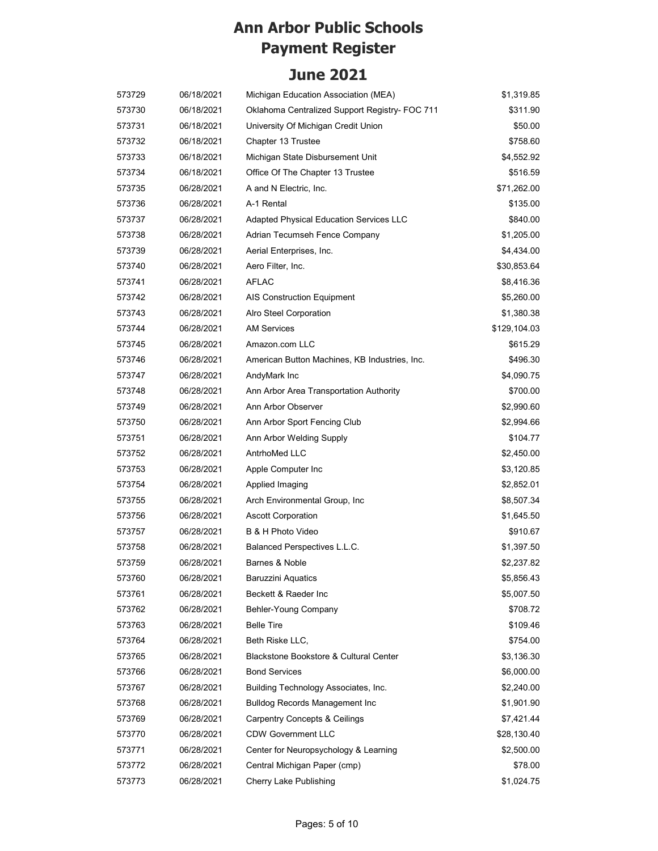| 573729 | 06/18/2021 | Michigan Education Association (MEA)           | \$1,319.85   |
|--------|------------|------------------------------------------------|--------------|
| 573730 | 06/18/2021 | Oklahoma Centralized Support Registry- FOC 711 | \$311.90     |
| 573731 | 06/18/2021 | University Of Michigan Credit Union            | \$50.00      |
| 573732 | 06/18/2021 | Chapter 13 Trustee                             | \$758.60     |
| 573733 | 06/18/2021 | Michigan State Disbursement Unit               | \$4,552.92   |
| 573734 | 06/18/2021 | Office Of The Chapter 13 Trustee               | \$516.59     |
| 573735 | 06/28/2021 | A and N Electric, Inc.                         | \$71,262.00  |
| 573736 | 06/28/2021 | A-1 Rental                                     | \$135.00     |
| 573737 | 06/28/2021 | Adapted Physical Education Services LLC        | \$840.00     |
| 573738 | 06/28/2021 | Adrian Tecumseh Fence Company                  | \$1,205.00   |
| 573739 | 06/28/2021 | Aerial Enterprises, Inc.                       | \$4,434.00   |
| 573740 | 06/28/2021 | Aero Filter, Inc.                              | \$30,853.64  |
| 573741 | 06/28/2021 | <b>AFLAC</b>                                   | \$8,416.36   |
| 573742 | 06/28/2021 | <b>AIS Construction Equipment</b>              | \$5,260.00   |
| 573743 | 06/28/2021 | Alro Steel Corporation                         | \$1,380.38   |
| 573744 | 06/28/2021 | <b>AM Services</b>                             | \$129,104.03 |
| 573745 | 06/28/2021 | Amazon.com LLC                                 | \$615.29     |
| 573746 | 06/28/2021 | American Button Machines, KB Industries, Inc.  | \$496.30     |
| 573747 | 06/28/2021 | AndyMark Inc                                   | \$4,090.75   |
| 573748 | 06/28/2021 | Ann Arbor Area Transportation Authority        | \$700.00     |
| 573749 | 06/28/2021 | Ann Arbor Observer                             | \$2,990.60   |
| 573750 | 06/28/2021 | Ann Arbor Sport Fencing Club                   | \$2,994.66   |
| 573751 | 06/28/2021 | Ann Arbor Welding Supply                       | \$104.77     |
| 573752 | 06/28/2021 | AntrhoMed LLC                                  | \$2,450.00   |
| 573753 | 06/28/2021 | Apple Computer Inc                             | \$3,120.85   |
| 573754 | 06/28/2021 | Applied Imaging                                | \$2,852.01   |
| 573755 | 06/28/2021 | Arch Environmental Group, Inc.                 | \$8,507.34   |
| 573756 | 06/28/2021 | <b>Ascott Corporation</b>                      | \$1,645.50   |
| 573757 | 06/28/2021 | B & H Photo Video                              | \$910.67     |
| 573758 | 06/28/2021 | Balanced Perspectives L.L.C.                   | \$1,397.50   |
| 573759 | 06/28/2021 | Barnes & Noble                                 | \$2,237.82   |
| 573760 | 06/28/2021 | Baruzzini Aquatics                             | \$5,856.43   |
| 573761 | 06/28/2021 | Beckett & Raeder Inc                           | \$5,007.50   |
| 573762 | 06/28/2021 | Behler-Young Company                           | \$708.72     |
| 573763 | 06/28/2021 | <b>Belle Tire</b>                              | \$109.46     |
| 573764 | 06/28/2021 | Beth Riske LLC,                                | \$754.00     |
| 573765 | 06/28/2021 | Blackstone Bookstore & Cultural Center         | \$3,136.30   |
| 573766 | 06/28/2021 | <b>Bond Services</b>                           | \$6,000.00   |
| 573767 | 06/28/2021 | Building Technology Associates, Inc.           | \$2,240.00   |
| 573768 | 06/28/2021 | <b>Bulldog Records Management Inc</b>          | \$1,901.90   |
| 573769 | 06/28/2021 | Carpentry Concepts & Ceilings                  | \$7,421.44   |
| 573770 | 06/28/2021 | <b>CDW Government LLC</b>                      | \$28,130.40  |
| 573771 | 06/28/2021 | Center for Neuropsychology & Learning          | \$2,500.00   |
| 573772 | 06/28/2021 | Central Michigan Paper (cmp)                   | \$78.00      |
| 573773 | 06/28/2021 | Cherry Lake Publishing                         | \$1,024.75   |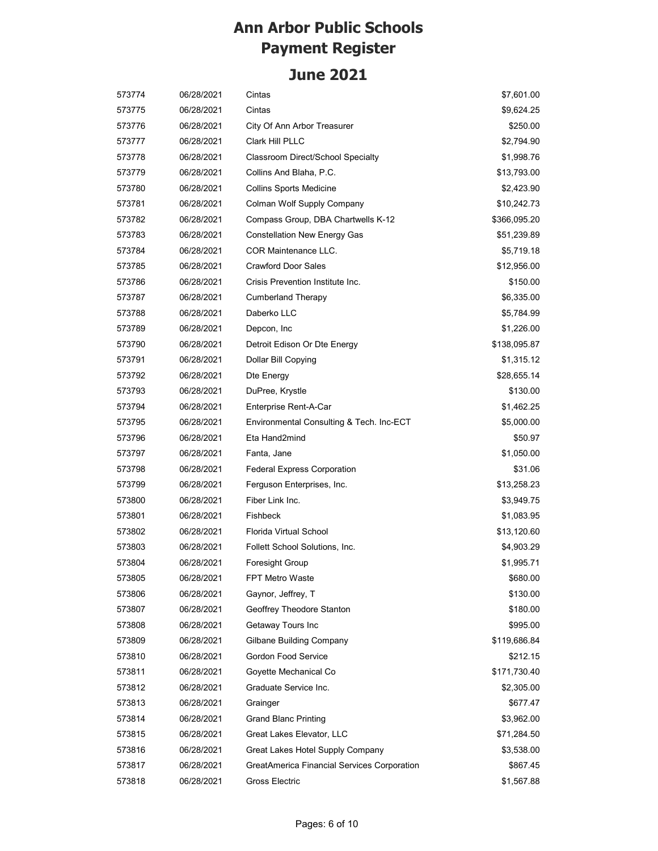| 573774 | 06/28/2021 | Cintas                                      | \$7,601.00   |
|--------|------------|---------------------------------------------|--------------|
| 573775 | 06/28/2021 | Cintas                                      | \$9,624.25   |
| 573776 | 06/28/2021 | City Of Ann Arbor Treasurer                 | \$250.00     |
| 573777 | 06/28/2021 | Clark Hill PLLC                             | \$2,794.90   |
| 573778 | 06/28/2021 | <b>Classroom Direct/School Specialty</b>    | \$1,998.76   |
| 573779 | 06/28/2021 | Collins And Blaha, P.C.                     | \$13,793.00  |
| 573780 | 06/28/2021 | <b>Collins Sports Medicine</b>              | \$2,423.90   |
| 573781 | 06/28/2021 | Colman Wolf Supply Company                  | \$10,242.73  |
| 573782 | 06/28/2021 | Compass Group, DBA Chartwells K-12          | \$366,095.20 |
| 573783 | 06/28/2021 | <b>Constellation New Energy Gas</b>         | \$51,239.89  |
| 573784 | 06/28/2021 | <b>COR Maintenance LLC.</b>                 | \$5,719.18   |
| 573785 | 06/28/2021 | <b>Crawford Door Sales</b>                  | \$12,956.00  |
| 573786 | 06/28/2021 | Crisis Prevention Institute Inc.            | \$150.00     |
| 573787 | 06/28/2021 | <b>Cumberland Therapy</b>                   | \$6,335.00   |
| 573788 | 06/28/2021 | Daberko LLC                                 | \$5,784.99   |
| 573789 | 06/28/2021 | Depcon, Inc                                 | \$1,226.00   |
| 573790 | 06/28/2021 | Detroit Edison Or Dte Energy                | \$138,095.87 |
| 573791 | 06/28/2021 | Dollar Bill Copying                         | \$1,315.12   |
| 573792 | 06/28/2021 | Dte Energy                                  | \$28,655.14  |
| 573793 | 06/28/2021 | DuPree, Krystle                             | \$130.00     |
| 573794 | 06/28/2021 | Enterprise Rent-A-Car                       | \$1,462.25   |
| 573795 | 06/28/2021 | Environmental Consulting & Tech. Inc-ECT    | \$5,000.00   |
| 573796 | 06/28/2021 | Eta Hand2mind                               | \$50.97      |
| 573797 | 06/28/2021 | Fanta, Jane                                 | \$1,050.00   |
| 573798 | 06/28/2021 | <b>Federal Express Corporation</b>          | \$31.06      |
| 573799 | 06/28/2021 | Ferguson Enterprises, Inc.                  | \$13,258.23  |
| 573800 | 06/28/2021 | Fiber Link Inc.                             | \$3,949.75   |
| 573801 | 06/28/2021 | Fishbeck                                    | \$1,083.95   |
| 573802 | 06/28/2021 | Florida Virtual School                      | \$13,120.60  |
| 573803 | 06/28/2021 | Follett School Solutions, Inc.              | \$4,903.29   |
| 573804 | 06/28/2021 | Foresight Group                             | \$1,995.71   |
| 573805 | 06/28/2021 | FPT Metro Waste                             | \$680.00     |
| 573806 | 06/28/2021 | Gaynor, Jeffrey, T                          | \$130.00     |
| 573807 | 06/28/2021 | Geoffrey Theodore Stanton                   | \$180.00     |
| 573808 | 06/28/2021 | Getaway Tours Inc                           | \$995.00     |
| 573809 | 06/28/2021 | Gilbane Building Company                    | \$119,686.84 |
| 573810 | 06/28/2021 | Gordon Food Service                         | \$212.15     |
| 573811 | 06/28/2021 | Goyette Mechanical Co                       | \$171,730.40 |
| 573812 | 06/28/2021 | Graduate Service Inc.                       | \$2,305.00   |
| 573813 | 06/28/2021 | Grainger                                    | \$677.47     |
| 573814 | 06/28/2021 | <b>Grand Blanc Printing</b>                 | \$3,962.00   |
| 573815 | 06/28/2021 | Great Lakes Elevator, LLC                   | \$71,284.50  |
| 573816 | 06/28/2021 | Great Lakes Hotel Supply Company            | \$3,538.00   |
| 573817 | 06/28/2021 | GreatAmerica Financial Services Corporation | \$867.45     |
| 573818 | 06/28/2021 | Gross Electric                              | \$1,567.88   |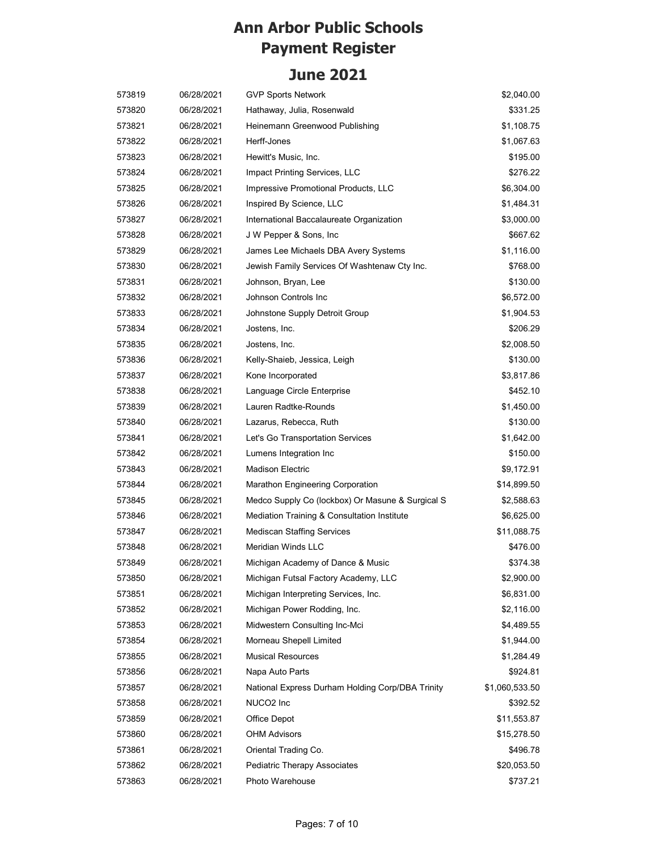| 573819 | 06/28/2021 | <b>GVP Sports Network</b>                        | \$2,040.00     |
|--------|------------|--------------------------------------------------|----------------|
| 573820 | 06/28/2021 | Hathaway, Julia, Rosenwald                       | \$331.25       |
| 573821 | 06/28/2021 | Heinemann Greenwood Publishing                   | \$1,108.75     |
| 573822 | 06/28/2021 | Herff-Jones                                      | \$1,067.63     |
| 573823 | 06/28/2021 | Hewitt's Music, Inc.                             | \$195.00       |
| 573824 | 06/28/2021 | Impact Printing Services, LLC                    | \$276.22       |
| 573825 | 06/28/2021 | Impressive Promotional Products, LLC             | \$6,304.00     |
| 573826 | 06/28/2021 | Inspired By Science, LLC                         | \$1,484.31     |
| 573827 | 06/28/2021 | International Baccalaureate Organization         | \$3,000.00     |
| 573828 | 06/28/2021 | J W Pepper & Sons, Inc.                          | \$667.62       |
| 573829 | 06/28/2021 | James Lee Michaels DBA Avery Systems             | \$1,116.00     |
| 573830 | 06/28/2021 | Jewish Family Services Of Washtenaw Cty Inc.     | \$768.00       |
| 573831 | 06/28/2021 | Johnson, Bryan, Lee                              | \$130.00       |
| 573832 | 06/28/2021 | Johnson Controls Inc                             | \$6,572.00     |
| 573833 | 06/28/2021 | Johnstone Supply Detroit Group                   | \$1,904.53     |
| 573834 | 06/28/2021 | Jostens, Inc.                                    | \$206.29       |
| 573835 | 06/28/2021 | Jostens, Inc.                                    | \$2,008.50     |
| 573836 | 06/28/2021 | Kelly-Shaieb, Jessica, Leigh                     | \$130.00       |
| 573837 | 06/28/2021 | Kone Incorporated                                | \$3,817.86     |
| 573838 | 06/28/2021 | Language Circle Enterprise                       | \$452.10       |
| 573839 | 06/28/2021 | Lauren Radtke-Rounds                             | \$1,450.00     |
| 573840 | 06/28/2021 | Lazarus, Rebecca, Ruth                           | \$130.00       |
| 573841 | 06/28/2021 | Let's Go Transportation Services                 | \$1,642.00     |
| 573842 | 06/28/2021 | Lumens Integration Inc                           | \$150.00       |
| 573843 | 06/28/2021 | <b>Madison Electric</b>                          | \$9,172.91     |
| 573844 | 06/28/2021 | Marathon Engineering Corporation                 | \$14,899.50    |
| 573845 | 06/28/2021 | Medco Supply Co (lockbox) Or Masune & Surgical S | \$2,588.63     |
| 573846 | 06/28/2021 | Mediation Training & Consultation Institute      | \$6,625.00     |
| 573847 | 06/28/2021 | <b>Mediscan Staffing Services</b>                | \$11,088.75    |
| 573848 | 06/28/2021 | Meridian Winds LLC                               | \$476.00       |
| 573849 | 06/28/2021 | Michigan Academy of Dance & Music                | \$374.38       |
| 573850 | 06/28/2021 | Michigan Futsal Factory Academy, LLC             | \$2,900.00     |
| 573851 | 06/28/2021 | Michigan Interpreting Services, Inc.             | \$6,831.00     |
| 573852 | 06/28/2021 | Michigan Power Rodding, Inc.                     | \$2,116.00     |
| 573853 | 06/28/2021 | Midwestern Consulting Inc-Mci                    | \$4,489.55     |
| 573854 | 06/28/2021 | Morneau Shepell Limited                          | \$1,944.00     |
| 573855 | 06/28/2021 | <b>Musical Resources</b>                         | \$1,284.49     |
| 573856 | 06/28/2021 | Napa Auto Parts                                  | \$924.81       |
| 573857 | 06/28/2021 | National Express Durham Holding Corp/DBA Trinity | \$1,060,533.50 |
| 573858 | 06/28/2021 | NUCO2 Inc                                        | \$392.52       |
| 573859 | 06/28/2021 | Office Depot                                     | \$11,553.87    |
| 573860 | 06/28/2021 | <b>OHM Advisors</b>                              | \$15,278.50    |
| 573861 | 06/28/2021 | Oriental Trading Co.                             | \$496.78       |
| 573862 | 06/28/2021 | <b>Pediatric Therapy Associates</b>              | \$20,053.50    |
| 573863 | 06/28/2021 | Photo Warehouse                                  | \$737.21       |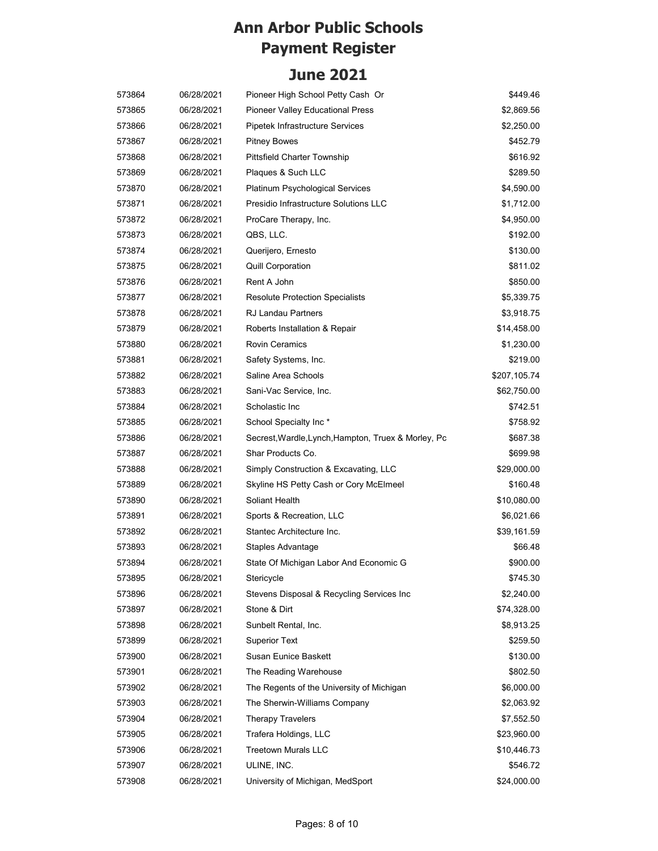| 573864 | 06/28/2021 | Pioneer High School Petty Cash Or                   | \$449.46     |
|--------|------------|-----------------------------------------------------|--------------|
| 573865 | 06/28/2021 | Pioneer Valley Educational Press                    | \$2,869.56   |
| 573866 | 06/28/2021 | Pipetek Infrastructure Services                     | \$2,250.00   |
| 573867 | 06/28/2021 | <b>Pitney Bowes</b>                                 | \$452.79     |
| 573868 | 06/28/2021 | <b>Pittsfield Charter Township</b>                  | \$616.92     |
| 573869 | 06/28/2021 | Plaques & Such LLC                                  | \$289.50     |
| 573870 | 06/28/2021 | Platinum Psychological Services                     | \$4,590.00   |
| 573871 | 06/28/2021 | Presidio Infrastructure Solutions LLC               | \$1,712.00   |
| 573872 | 06/28/2021 | ProCare Therapy, Inc.                               | \$4,950.00   |
| 573873 | 06/28/2021 | QBS, LLC.                                           | \$192.00     |
| 573874 | 06/28/2021 | Querijero, Ernesto                                  | \$130.00     |
| 573875 | 06/28/2021 | <b>Quill Corporation</b>                            | \$811.02     |
| 573876 | 06/28/2021 | Rent A John                                         | \$850.00     |
| 573877 | 06/28/2021 | <b>Resolute Protection Specialists</b>              | \$5,339.75   |
| 573878 | 06/28/2021 | RJ Landau Partners                                  | \$3,918.75   |
| 573879 | 06/28/2021 | Roberts Installation & Repair                       | \$14,458.00  |
| 573880 | 06/28/2021 | <b>Rovin Ceramics</b>                               | \$1,230.00   |
| 573881 | 06/28/2021 | Safety Systems, Inc.                                | \$219.00     |
| 573882 | 06/28/2021 | Saline Area Schools                                 | \$207,105.74 |
| 573883 | 06/28/2021 | Sani-Vac Service, Inc.                              | \$62,750.00  |
| 573884 | 06/28/2021 | Scholastic Inc                                      | \$742.51     |
| 573885 | 06/28/2021 | School Specialty Inc*                               | \$758.92     |
| 573886 | 06/28/2021 | Secrest, Wardle, Lynch, Hampton, Truex & Morley, Pc | \$687.38     |
| 573887 | 06/28/2021 | Shar Products Co.                                   | \$699.98     |
| 573888 | 06/28/2021 | Simply Construction & Excavating, LLC               | \$29,000.00  |
| 573889 | 06/28/2021 | Skyline HS Petty Cash or Cory McElmeel              | \$160.48     |
| 573890 | 06/28/2021 | Soliant Health                                      | \$10,080.00  |
| 573891 | 06/28/2021 | Sports & Recreation, LLC                            | \$6,021.66   |
| 573892 | 06/28/2021 | Stantec Architecture Inc.                           | \$39,161.59  |
| 573893 | 06/28/2021 | Staples Advantage                                   | \$66.48      |
| 573894 | 06/28/2021 | State Of Michigan Labor And Economic G              | \$900.00     |
| 573895 | 06/28/2021 | Stericycle                                          | \$745.30     |
| 573896 | 06/28/2021 | Stevens Disposal & Recycling Services Inc           | \$2,240.00   |
| 573897 | 06/28/2021 | Stone & Dirt                                        | \$74,328.00  |
| 573898 | 06/28/2021 | Sunbelt Rental, Inc.                                | \$8,913.25   |
| 573899 | 06/28/2021 | <b>Superior Text</b>                                | \$259.50     |
| 573900 | 06/28/2021 | <b>Susan Eunice Baskett</b>                         | \$130.00     |
| 573901 | 06/28/2021 | The Reading Warehouse                               | \$802.50     |
| 573902 | 06/28/2021 | The Regents of the University of Michigan           | \$6,000.00   |
| 573903 | 06/28/2021 | The Sherwin-Williams Company                        | \$2,063.92   |
| 573904 | 06/28/2021 | <b>Therapy Travelers</b>                            | \$7,552.50   |
| 573905 | 06/28/2021 | Trafera Holdings, LLC                               | \$23,960.00  |
| 573906 | 06/28/2021 | <b>Treetown Murals LLC</b>                          | \$10,446.73  |
| 573907 | 06/28/2021 | ULINE, INC.                                         | \$546.72     |
| 573908 | 06/28/2021 | University of Michigan, MedSport                    | \$24,000.00  |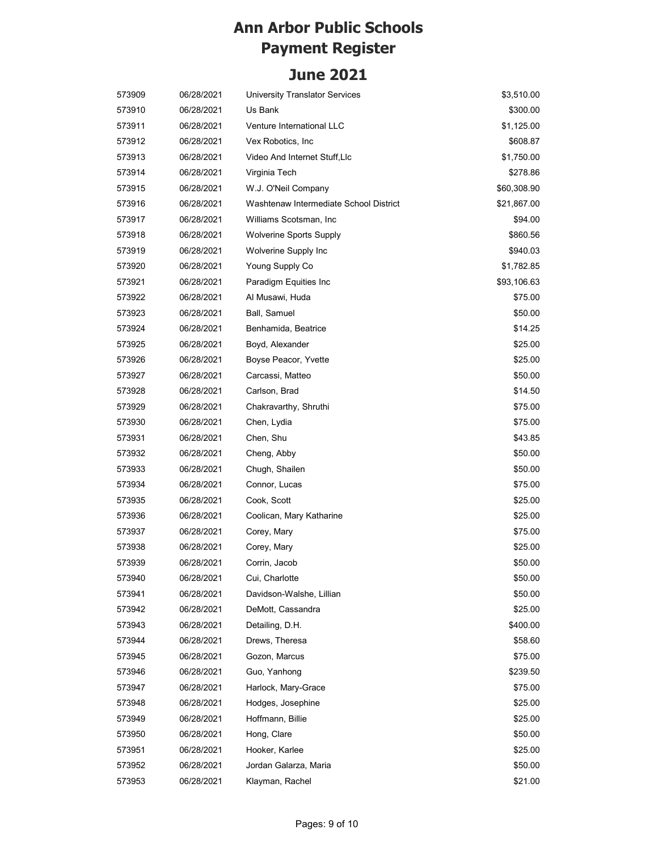| 573909 | 06/28/2021 | <b>University Translator Services</b>  | \$3,510.00  |
|--------|------------|----------------------------------------|-------------|
| 573910 | 06/28/2021 | Us Bank                                | \$300.00    |
| 573911 | 06/28/2021 | Venture International LLC              | \$1,125.00  |
| 573912 | 06/28/2021 | Vex Robotics, Inc.                     | \$608.87    |
| 573913 | 06/28/2021 | Video And Internet Stuff, Llc          | \$1,750.00  |
| 573914 | 06/28/2021 | Virginia Tech                          | \$278.86    |
| 573915 | 06/28/2021 | W.J. O'Neil Company                    | \$60,308.90 |
| 573916 | 06/28/2021 | Washtenaw Intermediate School District | \$21,867.00 |
| 573917 | 06/28/2021 | Williams Scotsman, Inc                 | \$94.00     |
| 573918 | 06/28/2021 | <b>Wolverine Sports Supply</b>         | \$860.56    |
| 573919 | 06/28/2021 | Wolverine Supply Inc                   | \$940.03    |
| 573920 | 06/28/2021 | Young Supply Co                        | \$1,782.85  |
| 573921 | 06/28/2021 | Paradigm Equities Inc                  | \$93,106.63 |
| 573922 | 06/28/2021 | Al Musawi, Huda                        | \$75.00     |
| 573923 | 06/28/2021 | Ball, Samuel                           | \$50.00     |
| 573924 | 06/28/2021 | Benhamida, Beatrice                    | \$14.25     |
| 573925 | 06/28/2021 | Boyd, Alexander                        | \$25.00     |
| 573926 | 06/28/2021 | Boyse Peacor, Yvette                   | \$25.00     |
| 573927 | 06/28/2021 | Carcassi, Matteo                       | \$50.00     |
| 573928 | 06/28/2021 | Carlson, Brad                          | \$14.50     |
| 573929 | 06/28/2021 | Chakravarthy, Shruthi                  | \$75.00     |
| 573930 | 06/28/2021 | Chen, Lydia                            | \$75.00     |
| 573931 | 06/28/2021 | Chen, Shu                              | \$43.85     |
| 573932 | 06/28/2021 | Cheng, Abby                            | \$50.00     |
| 573933 | 06/28/2021 | Chugh, Shailen                         | \$50.00     |
| 573934 | 06/28/2021 | Connor, Lucas                          | \$75.00     |
| 573935 | 06/28/2021 | Cook, Scott                            | \$25.00     |
| 573936 | 06/28/2021 | Coolican, Mary Katharine               | \$25.00     |
| 573937 | 06/28/2021 | Corey, Mary                            | \$75.00     |
| 573938 | 06/28/2021 | Corey, Mary                            | \$25.00     |
| 573939 | 06/28/2021 | Corrin, Jacob                          | \$50.00     |
| 573940 | 06/28/2021 | Cui, Charlotte                         | \$50.00     |
| 573941 | 06/28/2021 | Davidson-Walshe, Lillian               | \$50.00     |
| 573942 | 06/28/2021 | DeMott, Cassandra                      | \$25.00     |
| 573943 | 06/28/2021 | Detailing, D.H.                        | \$400.00    |
| 573944 | 06/28/2021 | Drews, Theresa                         | \$58.60     |
| 573945 | 06/28/2021 | Gozon, Marcus                          | \$75.00     |
| 573946 | 06/28/2021 | Guo, Yanhong                           | \$239.50    |
| 573947 | 06/28/2021 | Harlock, Mary-Grace                    | \$75.00     |
| 573948 | 06/28/2021 | Hodges, Josephine                      | \$25.00     |
| 573949 | 06/28/2021 | Hoffmann, Billie                       | \$25.00     |
| 573950 | 06/28/2021 | Hong, Clare                            | \$50.00     |
| 573951 | 06/28/2021 | Hooker, Karlee                         | \$25.00     |
| 573952 | 06/28/2021 | Jordan Galarza, Maria                  | \$50.00     |
| 573953 | 06/28/2021 | Klayman, Rachel                        | \$21.00     |